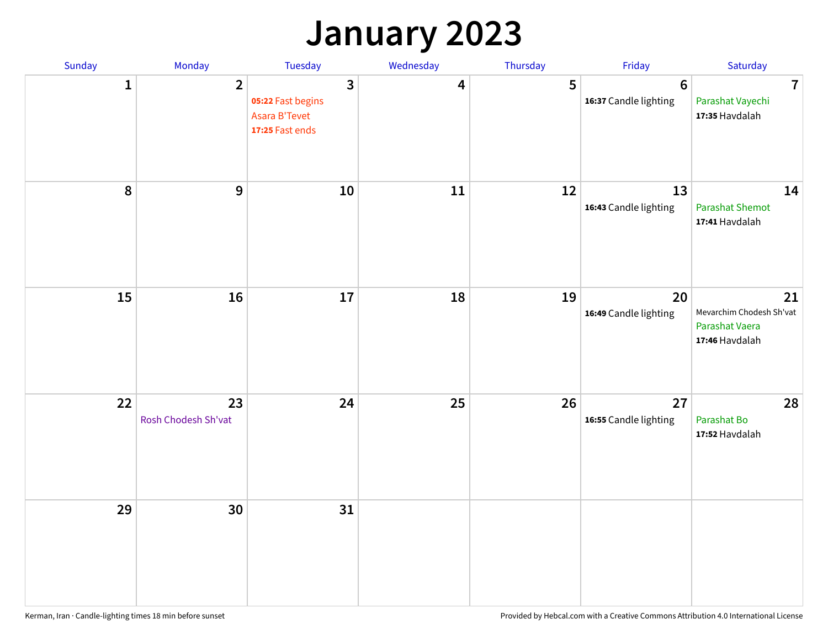## **January 2023**

| Sunday       | Monday                    | Tuesday                                                                 | Wednesday | Thursday | Friday                                  | Saturday                                                           |
|--------------|---------------------------|-------------------------------------------------------------------------|-----------|----------|-----------------------------------------|--------------------------------------------------------------------|
| $\mathbf{1}$ | $\overline{2}$            | $\overline{3}$<br>05:22 Fast begins<br>Asara B'Tevet<br>17:25 Fast ends | 4         | 5        | $6\phantom{1}$<br>16:37 Candle lighting | $\overline{7}$<br>Parashat Vayechi<br>17:35 Havdalah               |
| $\pmb{8}$    | $\mathbf{9}$              | 10                                                                      | 11        | 12       | 13<br>16:43 Candle lighting             | 14<br><b>Parashat Shemot</b><br>17:41 Havdalah                     |
| 15           | 16                        | 17                                                                      | 18        | 19       | 20<br>16:49 Candle lighting             | 21<br>Mevarchim Chodesh Sh'vat<br>Parashat Vaera<br>17:46 Havdalah |
| 22           | 23<br>Rosh Chodesh Sh'vat | 24                                                                      | 25        | 26       | 27<br>16:55 Candle lighting             | 28<br>Parashat Bo<br>17:52 Havdalah                                |
| 29           | 30                        | 31                                                                      |           |          |                                         |                                                                    |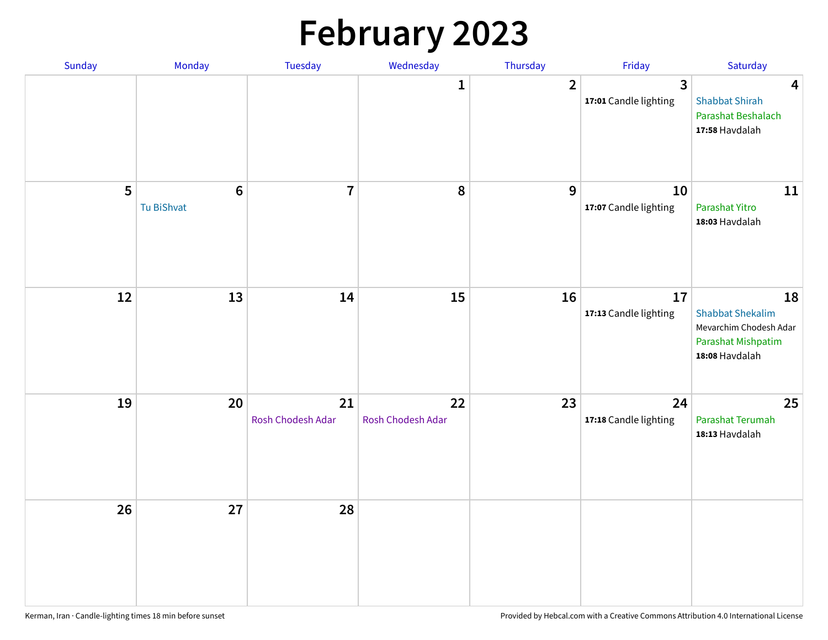# **February 2023**

| Sunday | Monday                        | Tuesday                 | Wednesday               | Thursday       | Friday                                  | Saturday                                                                                        |
|--------|-------------------------------|-------------------------|-------------------------|----------------|-----------------------------------------|-------------------------------------------------------------------------------------------------|
|        |                               |                         | 1                       | $\overline{2}$ | $\overline{3}$<br>17:01 Candle lighting | $\overline{\mathbf{4}}$<br><b>Shabbat Shirah</b><br>Parashat Beshalach<br>17:58 Havdalah        |
| 5      | $6\phantom{1}6$<br>Tu BiShvat | $\overline{7}$          | 8                       | 9              | 10<br>17:07 Candle lighting             | 11<br>Parashat Yitro<br>18:03 Havdalah                                                          |
| 12     | 13                            | 14                      | 15                      | 16             | 17<br>17:13 Candle lighting             | 18<br><b>Shabbat Shekalim</b><br>Mevarchim Chodesh Adar<br>Parashat Mishpatim<br>18:08 Havdalah |
| 19     | 20                            | 21<br>Rosh Chodesh Adar | 22<br>Rosh Chodesh Adar | 23             | 24<br>17:18 Candle lighting             | 25<br>Parashat Terumah<br>18:13 Havdalah                                                        |
| 26     | 27                            | 28                      |                         |                |                                         |                                                                                                 |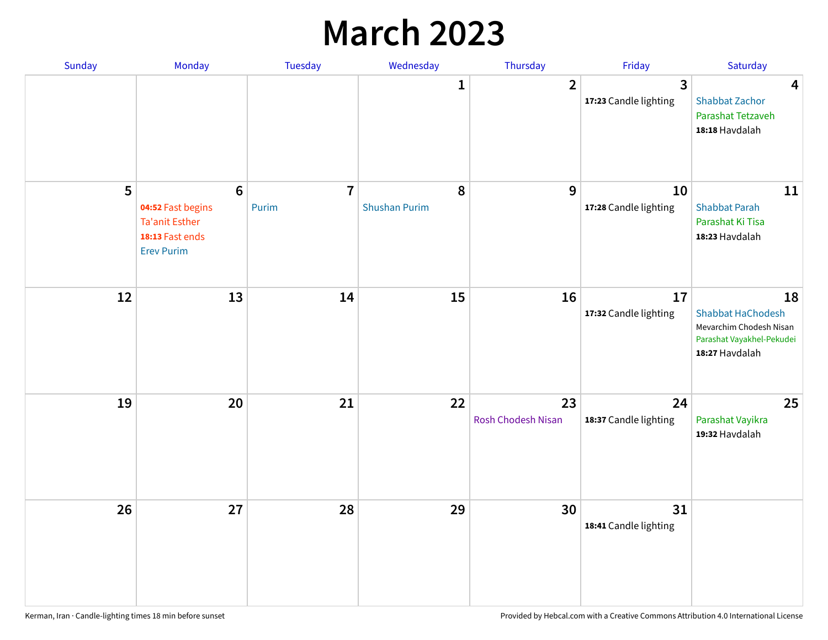## **March 2023**

| Sunday | Monday                                                                                                | Tuesday                 | Wednesday                 | Thursday                 | Friday                      | Saturday                                                                                                 |
|--------|-------------------------------------------------------------------------------------------------------|-------------------------|---------------------------|--------------------------|-----------------------------|----------------------------------------------------------------------------------------------------------|
|        |                                                                                                       |                         | 1                         | $\overline{2}$           | 3<br>17:23 Candle lighting  | $\overline{\mathbf{4}}$<br><b>Shabbat Zachor</b><br>Parashat Tetzaveh<br>18:18 Havdalah                  |
| 5      | $6\phantom{1}6$<br>04:52 Fast begins<br><b>Ta'anit Esther</b><br>18:13 Fast ends<br><b>Erev Purim</b> | $\overline{7}$<br>Purim | 8<br><b>Shushan Purim</b> | 9                        | 10<br>17:28 Candle lighting | 11<br><b>Shabbat Parah</b><br>Parashat Ki Tisa<br>18:23 Havdalah                                         |
| 12     | 13                                                                                                    | 14                      | 15                        | 16                       | 17<br>17:32 Candle lighting | 18<br><b>Shabbat HaChodesh</b><br>Mevarchim Chodesh Nisan<br>Parashat Vayakhel-Pekudei<br>18:27 Havdalah |
| 19     | 20                                                                                                    | 21                      | 22                        | 23<br>Rosh Chodesh Nisan | 24<br>18:37 Candle lighting | 25<br>Parashat Vayikra<br>19:32 Havdalah                                                                 |
| 26     | 27                                                                                                    | 28                      | 29                        | 30                       | 31<br>18:41 Candle lighting |                                                                                                          |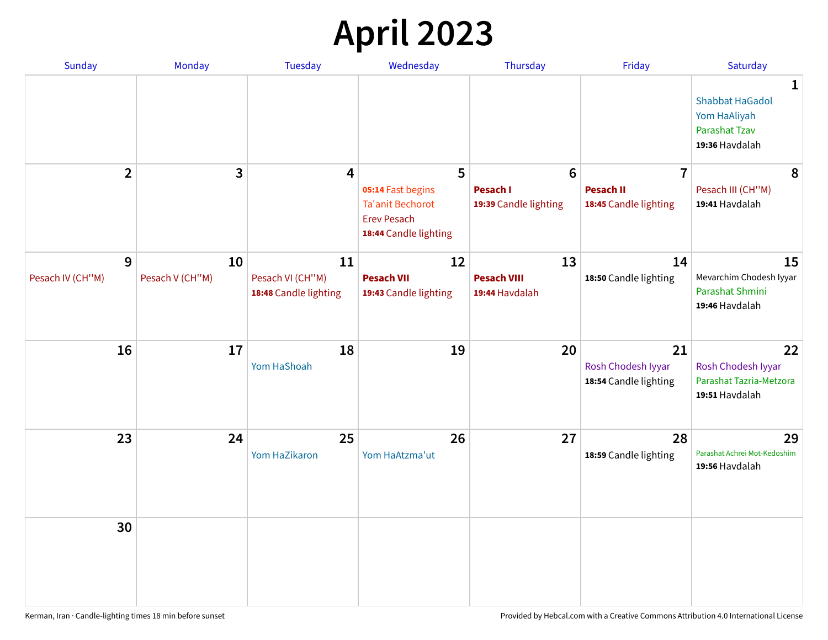# **April 2023**

| Sunday                | Monday                | <b>Tuesday</b>                                  | Wednesday                                                                                   | Thursday                                   | Friday                                            | Saturday                                                                              |
|-----------------------|-----------------------|-------------------------------------------------|---------------------------------------------------------------------------------------------|--------------------------------------------|---------------------------------------------------|---------------------------------------------------------------------------------------|
|                       |                       |                                                 |                                                                                             |                                            |                                                   | 1<br><b>Shabbat HaGadol</b><br>Yom HaAliyah<br><b>Parashat Tzav</b><br>19:36 Havdalah |
| $\overline{2}$        | 3                     | 4                                               | 5                                                                                           | $6\phantom{1}6$                            | $\overline{7}$                                    | 8                                                                                     |
|                       |                       |                                                 | 05:14 Fast begins<br><b>Ta'anit Bechorot</b><br><b>Erev Pesach</b><br>18:44 Candle lighting | <b>Pesach I</b><br>19:39 Candle lighting   | <b>Pesach II</b><br>18:45 Candle lighting         | Pesach III (CH"M)<br>19:41 Havdalah                                                   |
| 9<br>Pesach IV (CH"M) | 10<br>Pesach V (CH"M) | 11<br>Pesach VI (CH"M)<br>18:48 Candle lighting | 12<br><b>Pesach VII</b><br>19:43 Candle lighting                                            | 13<br><b>Pesach VIII</b><br>19:44 Havdalah | 14<br>18:50 Candle lighting                       | 15<br>Mevarchim Chodesh Iyyar<br>Parashat Shmini<br>19:46 Havdalah                    |
|                       |                       |                                                 |                                                                                             |                                            |                                                   |                                                                                       |
| 16                    | 17                    | 18<br>Yom HaShoah                               | 19                                                                                          | 20                                         | 21<br>Rosh Chodesh Iyyar<br>18:54 Candle lighting | 22<br>Rosh Chodesh Iyyar<br>Parashat Tazria-Metzora<br>19:51 Havdalah                 |
| 23                    | 24                    | 25<br>Yom HaZikaron                             | 26<br>Yom HaAtzma'ut                                                                        | 27                                         | 28<br>18:59 Candle lighting                       | 29<br>Parashat Achrei Mot-Kedoshim<br>19:56 Havdalah                                  |
| 30                    |                       |                                                 |                                                                                             |                                            |                                                   |                                                                                       |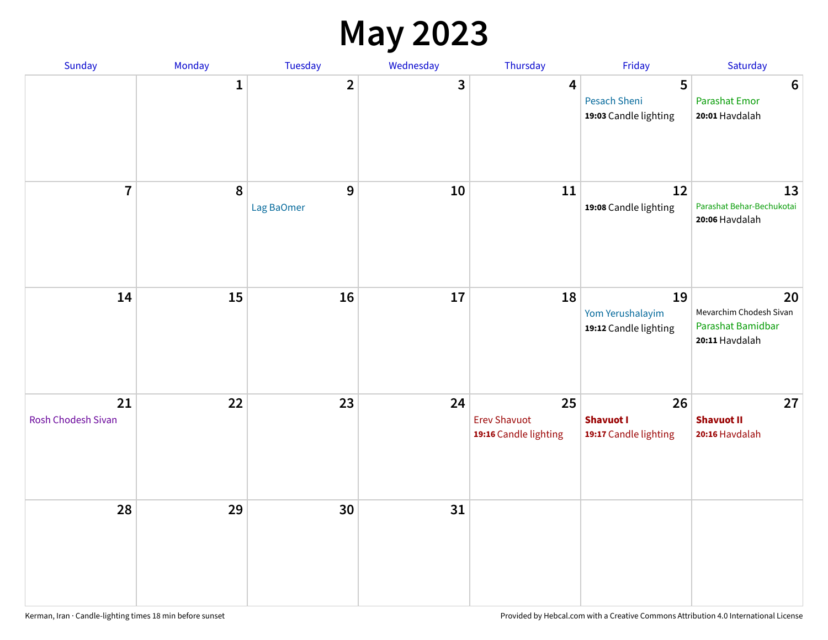#### **May 2023**

| <b>Sunday</b>                   | Monday      | Tuesday         | Wednesday | Thursday                                           | Friday                                          | Saturday                                                             |
|---------------------------------|-------------|-----------------|-----------|----------------------------------------------------|-------------------------------------------------|----------------------------------------------------------------------|
|                                 | $\mathbf 1$ | $\mathbf{2}$    | 3         | 4                                                  | 5<br>Pesach Sheni<br>19:03 Candle lighting      | $\bf 6$<br><b>Parashat Emor</b><br>20:01 Havdalah                    |
| $\overline{7}$                  | $\pmb{8}$   | 9<br>Lag BaOmer | 10        | 11                                                 | 12<br>19:08 Candle lighting                     | 13<br>Parashat Behar-Bechukotai<br>20:06 Havdalah                    |
| 14                              | 15          | 16              | 17        | 18                                                 | 19<br>Yom Yerushalayim<br>19:12 Candle lighting | 20<br>Mevarchim Chodesh Sivan<br>Parashat Bamidbar<br>20:11 Havdalah |
| 21<br><b>Rosh Chodesh Sivan</b> | 22          | 23              | 24        | 25<br><b>Erev Shavuot</b><br>19:16 Candle lighting | 26<br><b>Shavuot I</b><br>19:17 Candle lighting | 27<br><b>Shavuot II</b><br>20:16 Havdalah                            |
| 28                              | 29          | 30              | 31        |                                                    |                                                 |                                                                      |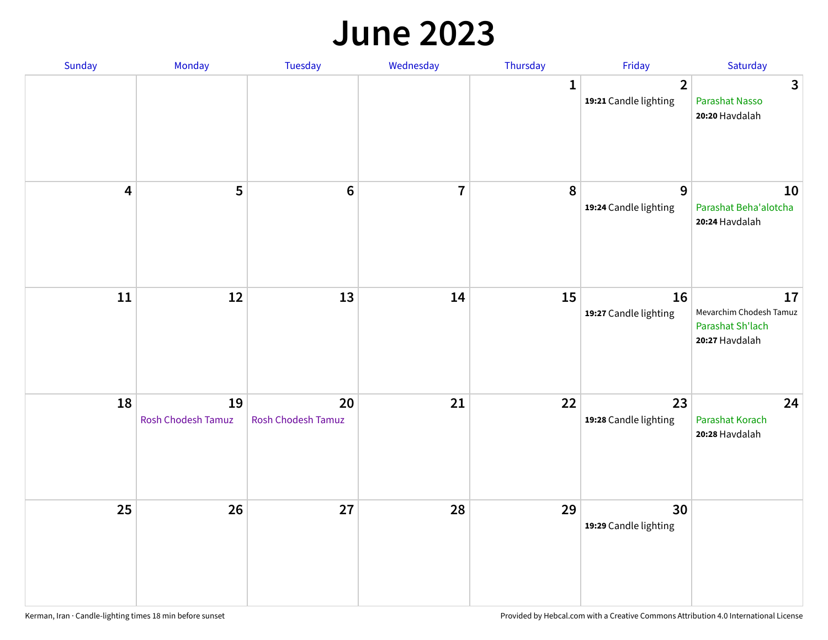#### **June 2023**

| Sunday                  | Monday                   | Tuesday                         | Wednesday      | Thursday     | Friday                                  | Saturday                                                            |
|-------------------------|--------------------------|---------------------------------|----------------|--------------|-----------------------------------------|---------------------------------------------------------------------|
|                         |                          |                                 |                | $\mathbf{1}$ | $\overline{2}$<br>19:21 Candle lighting | $\mathbf{3}$<br><b>Parashat Nasso</b><br>20:20 Havdalah             |
| $\overline{\mathbf{4}}$ | 5                        | $6\phantom{1}6$                 | $\overline{7}$ | 8            | 9<br>19:24 Candle lighting              | 10<br>Parashat Beha'alotcha<br>20:24 Havdalah                       |
| $11\,$                  | 12                       | 13                              | 14             | 15           | 16<br>19:27 Candle lighting             | 17<br>Mevarchim Chodesh Tamuz<br>Parashat Sh'lach<br>20:27 Havdalah |
| 18                      | 19<br>Rosh Chodesh Tamuz | 20<br><b>Rosh Chodesh Tamuz</b> | 21             | 22           | 23<br>19:28 Candle lighting             | 24<br>Parashat Korach<br>20:28 Havdalah                             |
| 25                      | 26                       | 27                              | 28             | 29           | 30<br>19:29 Candle lighting             |                                                                     |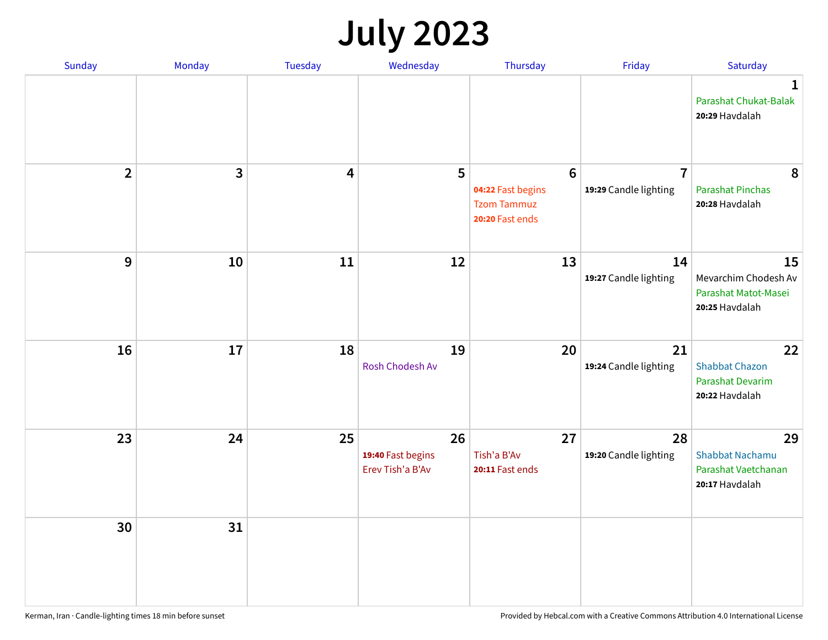# **July 2023**

| Sunday                  | Monday       | <b>Tuesday</b>          | Wednesday                                   | Thursday                                                                      | Friday                                  | Saturday                                                             |
|-------------------------|--------------|-------------------------|---------------------------------------------|-------------------------------------------------------------------------------|-----------------------------------------|----------------------------------------------------------------------|
|                         |              |                         |                                             |                                                                               |                                         | $\mathbf 1$<br>Parashat Chukat-Balak<br>20:29 Havdalah               |
| $\overline{\mathbf{2}}$ | $\mathbf{3}$ | $\overline{\mathbf{4}}$ | 5                                           | $6\phantom{1}6$<br>04:22 Fast begins<br><b>Tzom Tammuz</b><br>20:20 Fast ends | $\overline{7}$<br>19:29 Candle lighting | 8<br><b>Parashat Pinchas</b><br>20:28 Havdalah                       |
| 9                       | 10           | 11                      | 12                                          | 13                                                                            | 14<br>19:27 Candle lighting             | 15<br>Mevarchim Chodesh Av<br>Parashat Matot-Masei<br>20:25 Havdalah |
| 16                      | 17           | 18                      | 19<br>Rosh Chodesh Av                       | 20                                                                            | 21<br>19:24 Candle lighting             | 22<br><b>Shabbat Chazon</b><br>Parashat Devarim<br>20:22 Havdalah    |
| 23                      | 24           | 25                      | 26<br>19:40 Fast begins<br>Erev Tish'a B'Av | 27<br>Tish'a B'Av<br>20:11 Fast ends                                          | 28<br>19:20 Candle lighting             | 29<br>Shabbat Nachamu<br>Parashat Vaetchanan<br>20:17 Havdalah       |
| 30                      | 31           |                         |                                             |                                                                               |                                         |                                                                      |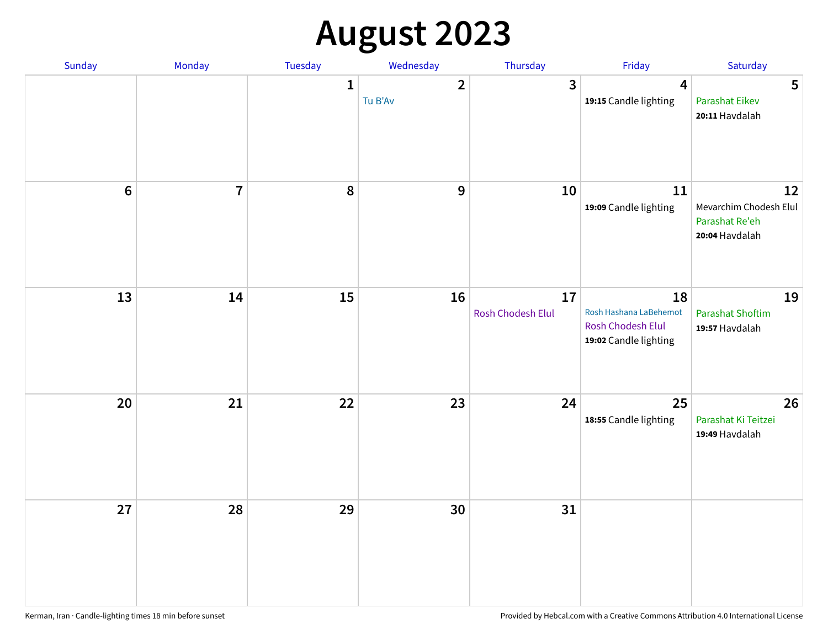# **August 2023**

| Sunday           | Monday         | Tuesday      | Wednesday               | Thursday                | Friday                                                                            | Saturday                                                         |
|------------------|----------------|--------------|-------------------------|-------------------------|-----------------------------------------------------------------------------------|------------------------------------------------------------------|
|                  |                | $\mathbf{1}$ | $\mathbf{2}$<br>Tu B'Av | $\mathbf{3}$            | $\overline{\mathbf{4}}$<br>19:15 Candle lighting                                  | 5<br>Parashat Eikev<br>20:11 Havdalah                            |
| $\boldsymbol{6}$ | $\overline{7}$ | 8            | $\boldsymbol{9}$        | 10                      | 11<br>19:09 Candle lighting                                                       | 12<br>Mevarchim Chodesh Elul<br>Parashat Re'eh<br>20:04 Havdalah |
| 13               | 14             | 15           | 16                      | 17<br>Rosh Chodesh Elul | 18<br>Rosh Hashana LaBehemot<br><b>Rosh Chodesh Elul</b><br>19:02 Candle lighting | 19<br><b>Parashat Shoftim</b><br>19:57 Havdalah                  |
| 20               | 21             | 22           | 23                      | 24                      | 25<br>18:55 Candle lighting                                                       | 26<br>Parashat Ki Teitzei<br>19:49 Havdalah                      |
| 27               | 28             | 29           | 30                      | 31                      |                                                                                   |                                                                  |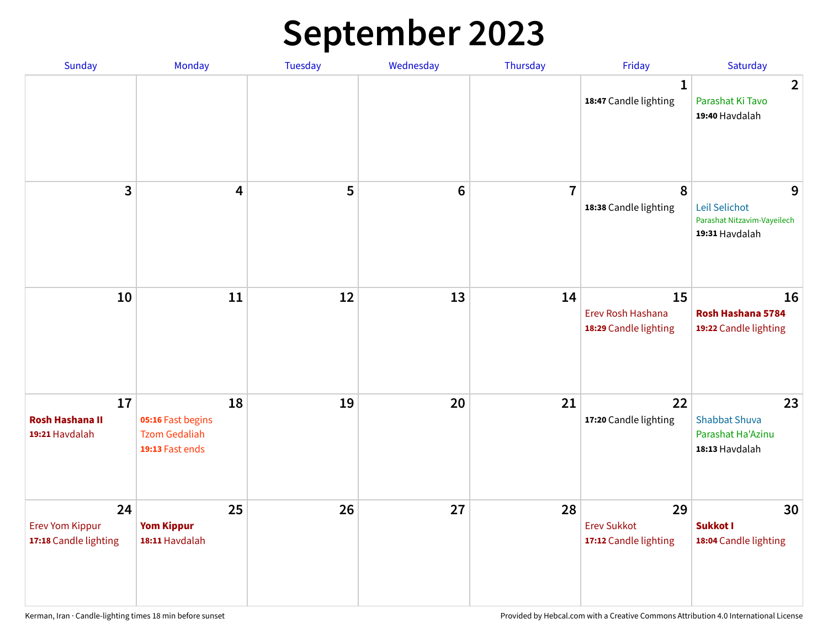# **September 2023**

| Sunday                                                | Monday                                                             | Tuesday | Wednesday       | Thursday       | Friday                                            | Saturday                                                            |
|-------------------------------------------------------|--------------------------------------------------------------------|---------|-----------------|----------------|---------------------------------------------------|---------------------------------------------------------------------|
|                                                       |                                                                    |         |                 |                | 1<br>18:47 Candle lighting                        | $\overline{2}$<br>Parashat Ki Tavo<br>19:40 Havdalah                |
| 3                                                     | $\overline{4}$                                                     | 5       | $6\phantom{1}6$ | $\overline{7}$ | 8<br>18:38 Candle lighting                        | 9<br>Leil Selichot<br>Parashat Nitzavim-Vayeilech<br>19:31 Havdalah |
| 10                                                    | 11                                                                 | 12      | 13              | 14             | 15<br>Erev Rosh Hashana<br>18:29 Candle lighting  | 16<br>Rosh Hashana 5784<br>19:22 Candle lighting                    |
| 17<br><b>Rosh Hashana II</b><br>19:21 Havdalah        | 18<br>05:16 Fast begins<br><b>Tzom Gedaliah</b><br>19:13 Fast ends | 19      | 20              | 21             | 22<br>17:20 Candle lighting                       | 23<br><b>Shabbat Shuva</b><br>Parashat Ha'Azinu<br>18:13 Havdalah   |
| 24<br><b>Erev Yom Kippur</b><br>17:18 Candle lighting | 25<br><b>Yom Kippur</b><br>18:11 Havdalah                          | 26      | 27              | 28             | 29<br><b>Erev Sukkot</b><br>17:12 Candle lighting | 30<br>Sukkot I<br>18:04 Candle lighting                             |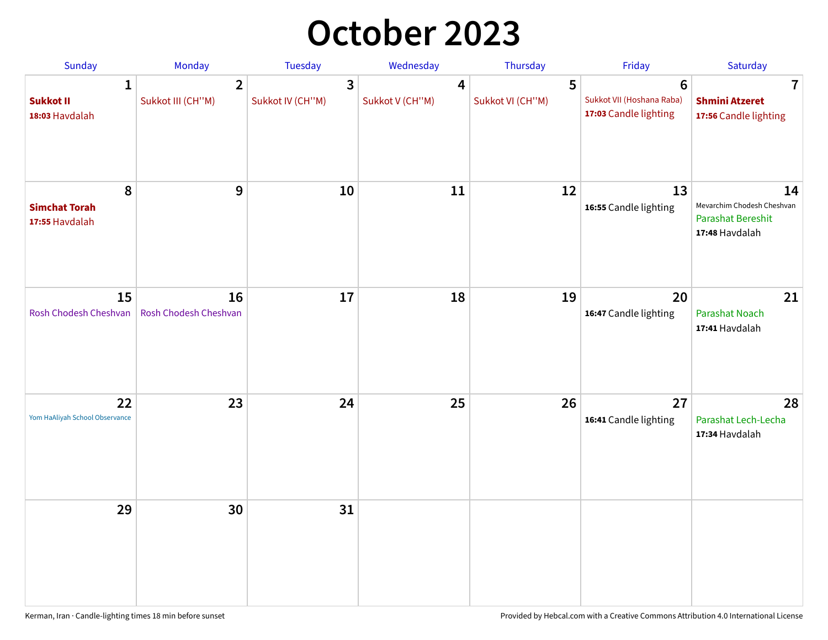## **October 2023**

| <b>Sunday</b>                               | <b>Monday</b>                       | <b>Tuesday</b>        | Wednesday            | Thursday              | Friday                                                               | Saturday                                                                       |
|---------------------------------------------|-------------------------------------|-----------------------|----------------------|-----------------------|----------------------------------------------------------------------|--------------------------------------------------------------------------------|
| 1<br><b>Sukkot II</b><br>18:03 Havdalah     | $\overline{2}$<br>Sukkot III (CH"M) | 3<br>Sukkot IV (CH"M) | 4<br>Sukkot V (CH"M) | 5<br>Sukkot VI (CH"M) | $6\phantom{1}$<br>Sukkot VII (Hoshana Raba)<br>17:03 Candle lighting | 7<br><b>Shmini Atzeret</b><br>17:56 Candle lighting                            |
| 8<br><b>Simchat Torah</b><br>17:55 Havdalah | $\boldsymbol{9}$                    | 10                    | 11                   | 12                    | 13<br>16:55 Candle lighting                                          | 14<br>Mevarchim Chodesh Cheshvan<br><b>Parashat Bereshit</b><br>17:48 Havdalah |
| 15<br>Rosh Chodesh Cheshvan                 | 16<br>Rosh Chodesh Cheshvan         | 17                    | 18                   | 19                    | 20<br>16:47 Candle lighting                                          | 21<br><b>Parashat Noach</b><br>17:41 Havdalah                                  |
| 22<br>Yom HaAliyah School Observance        | 23                                  | 24                    | 25                   | 26                    | 27<br>16:41 Candle lighting                                          | 28<br>Parashat Lech-Lecha<br>17:34 Havdalah                                    |
| 29                                          | 30                                  | 31                    |                      |                       |                                                                      |                                                                                |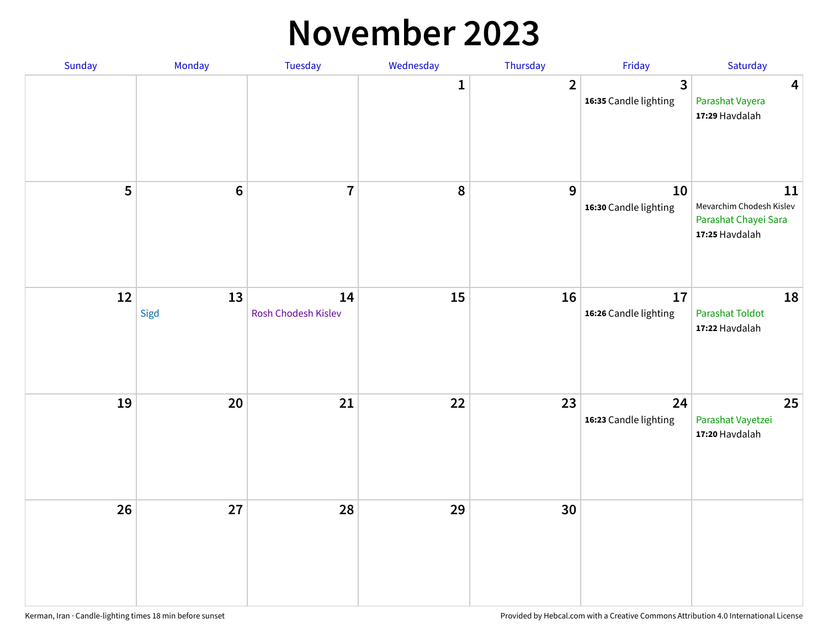#### **November 2023**

| Sunday | Monday     | Tuesday                   | Wednesday    | Thursday         | Friday                              | Saturday                                                                 |
|--------|------------|---------------------------|--------------|------------------|-------------------------------------|--------------------------------------------------------------------------|
|        |            |                           | $\mathbf{1}$ | $\overline{2}$   | 3<br>16:35 Candle lighting          | $\overline{\mathbf{4}}$<br>Parashat Vayera<br>17:29 Havdalah             |
| 5      | $\bf 6$    | $\overline{7}$            | ${\bf 8}$    | $\boldsymbol{9}$ | ${\bf 10}$<br>16:30 Candle lighting | 11<br>Mevarchim Chodesh Kislev<br>Parashat Chayei Sara<br>17:25 Havdalah |
| 12     | 13<br>Sigd | 14<br>Rosh Chodesh Kislev | 15           | 16               | 17<br>16:26 Candle lighting         | 18<br><b>Parashat Toldot</b><br>17:22 Havdalah                           |
| 19     | 20         | 21                        | 22           | 23               | 24<br>16:23 Candle lighting         | 25<br>Parashat Vayetzei<br>17:20 Havdalah                                |
| 26     | 27         | 28                        | 29           | 30               |                                     |                                                                          |